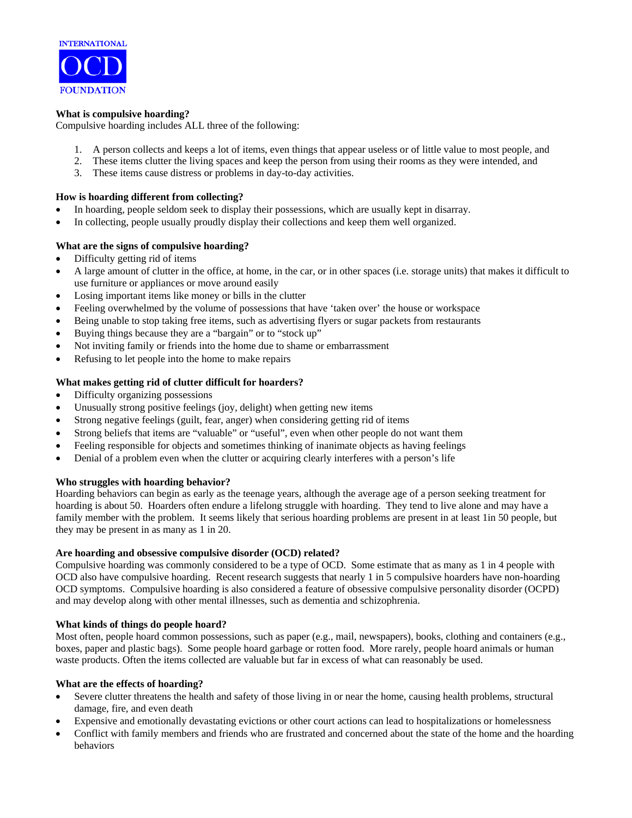

## **What is compulsive hoarding?**

Compulsive hoarding includes ALL three of the following:

- 1. A person collects and keeps a lot of items, even things that appear useless or of little value to most people, and
- 2. These items clutter the living spaces and keep the person from using their rooms as they were intended, and
- 3. These items cause distress or problems in day-to-day activities.

## **How is hoarding different from collecting?**

- In hoarding, people seldom seek to display their possessions, which are usually kept in disarray.
- In collecting, people usually proudly display their collections and keep them well organized.

# **What are the signs of compulsive hoarding?**

- Difficulty getting rid of items
- A large amount of clutter in the office, at home, in the car, or in other spaces (i.e. storage units) that makes it difficult to use furniture or appliances or move around easily
- Losing important items like money or bills in the clutter
- Feeling overwhelmed by the volume of possessions that have 'taken over' the house or workspace
- Being unable to stop taking free items, such as advertising flyers or sugar packets from restaurants
- Buying things because they are a "bargain" or to "stock up"
- Not inviting family or friends into the home due to shame or embarrassment
- Refusing to let people into the home to make repairs

# **What makes getting rid of clutter difficult for hoarders?**

- Difficulty organizing possessions
- Unusually strong positive feelings (joy, delight) when getting new items
- Strong negative feelings (guilt, fear, anger) when considering getting rid of items
- Strong beliefs that items are "valuable" or "useful", even when other people do not want them
- Feeling responsible for objects and sometimes thinking of inanimate objects as having feelings
- Denial of a problem even when the clutter or acquiring clearly interferes with a person's life

### **Who struggles with hoarding behavior?**

Hoarding behaviors can begin as early as the teenage years, although the average age of a person seeking treatment for hoarding is about 50. Hoarders often endure a lifelong struggle with hoarding. They tend to live alone and may have a family member with the problem. It seems likely that serious hoarding problems are present in at least 1in 50 people, but they may be present in as many as 1 in 20.

### **Are hoarding and obsessive compulsive disorder (OCD) related?**

Compulsive hoarding was commonly considered to be a type of OCD. Some estimate that as many as 1 in 4 people with OCD also have compulsive hoarding. Recent research suggests that nearly 1 in 5 compulsive hoarders have non-hoarding OCD symptoms. Compulsive hoarding is also considered a feature of obsessive compulsive personality disorder (OCPD) and may develop along with other mental illnesses, such as dementia and schizophrenia.

### **What kinds of things do people hoard?**

Most often, people hoard common possessions, such as paper (e.g., mail, newspapers), books, clothing and containers (e.g., boxes, paper and plastic bags). Some people hoard garbage or rotten food. More rarely, people hoard animals or human waste products. Often the items collected are valuable but far in excess of what can reasonably be used.

### **What are the effects of hoarding?**

- Severe clutter threatens the health and safety of those living in or near the home, causing health problems, structural damage, fire, and even death
- Expensive and emotionally devastating evictions or other court actions can lead to hospitalizations or homelessness
- Conflict with family members and friends who are frustrated and concerned about the state of the home and the hoarding behaviors